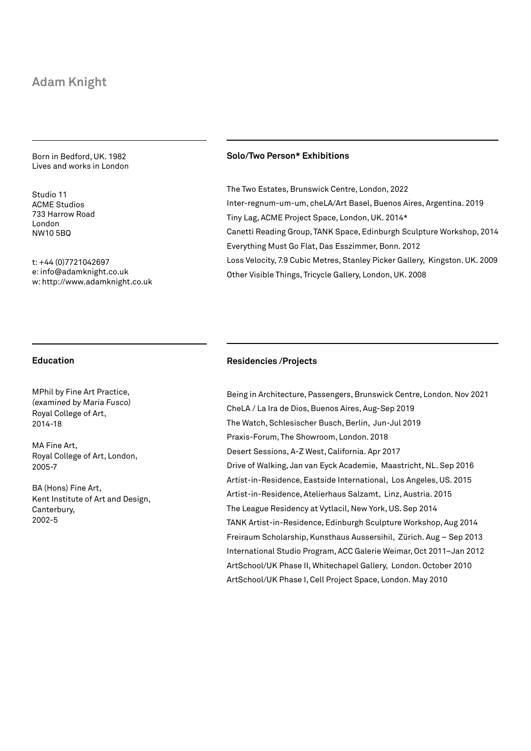# **Adam Knight**

Born in Bedford, UK. 1982 Lives and works in London

Studio 11 ACME Studios 733 Harrow Road London NW10 5BQ

t: +44 (0)7721042697 e: info@adamknight.co.uk w: http://www.adamknight.co.uk

### **Solo/Two Person\* Exhibitions**

The Two Estates, Brunswick Centre, London, 2022 Inter-regnum-um-um, cheLA/Art Basel, Buenos Aires, Argentina. 2019 Tiny Lag, ACME Project Space, London, UK. 2014\* Canetti Reading Group, TANK Space, Edinburgh Sculpture Workshop, 2014 Everything Must Go Flat, Das Esszimmer, Bonn. 2012 Loss Velocity, 7.9 Cubic Metres, Stanley Picker Gallery, Kingston. UK. 2009 Other Visible Things, Tricycle Gallery, London, UK. 2008

## **Education**

MPhil by Fine Art Practice, (examined by Maria Fusco) Royal College of Art, 2014-18

MA Fine Art, Royal College of Art, London, 2005-7

BA (Hons) Fine Art, Kent Institute of Art and Design, Canterbury, 2002-5

#### **Residencies /Projects**

Being in Architecture, Passengers, Brunswick Centre, London. Nov 2021 CheLA / La Ira de Dios, Buenos Aires, Aug-Sep 2019 The Watch, Schlesischer Busch, Berlin, Jun-Jul 2019 Praxis-Forum, The Showroom, London. 2018 Desert Sessions, A-Z West, California. Apr 2017 Drive of Walking, Jan van Eyck Academie, Maastricht, NL. Sep 2016 Artist-in-Residence, Eastside International, Los Angeles, US. 2015 Artist-in-Residence, Atelierhaus Salzamt, Linz, Austria. 2015 The League Residency at Vytlacil, New York, US. Sep 2014 TANK Artist-in-Residence, Edinburgh Sculpture Workshop, Aug 2014 Freiraum Scholarship, Kunsthaus Aussersihil, Zürich. Aug – Sep 2013 International Studio Program, ACC Galerie Weimar, Oct 2011–Jan 2012 ArtSchool/UK Phase II, Whitechapel Gallery, London. October 2010 ArtSchool/UK Phase I, Cell Project Space, London. May 2010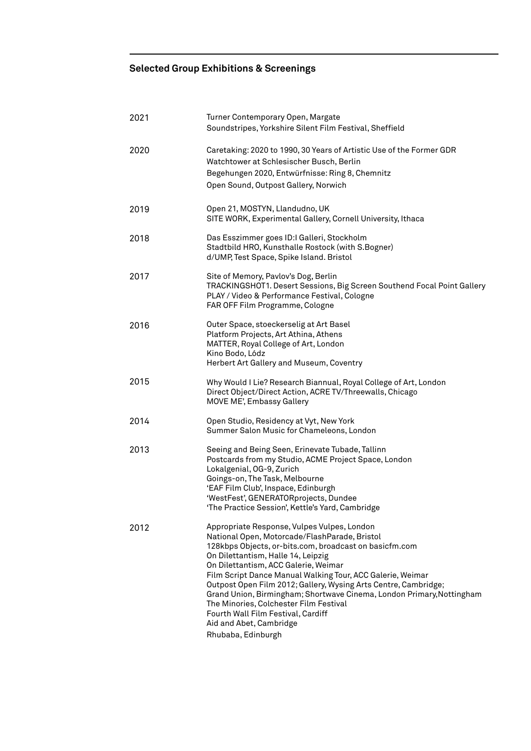# **Selected Group Exhibitions & Screenings**

| 2021 | Turner Contemporary Open, Margate<br>Soundstripes, Yorkshire Silent Film Festival, Sheffield                                                                                                                                                                                                                                                                                                                                                                                                                                                                                    |
|------|---------------------------------------------------------------------------------------------------------------------------------------------------------------------------------------------------------------------------------------------------------------------------------------------------------------------------------------------------------------------------------------------------------------------------------------------------------------------------------------------------------------------------------------------------------------------------------|
| 2020 | Caretaking: 2020 to 1990, 30 Years of Artistic Use of the Former GDR<br>Watchtower at Schlesischer Busch, Berlin<br>Begehungen 2020, Entwürfnisse: Ring 8, Chemnitz<br>Open Sound, Outpost Gallery, Norwich                                                                                                                                                                                                                                                                                                                                                                     |
| 2019 | Open 21, MOSTYN, Llandudno, UK<br>SITE WORK, Experimental Gallery, Cornell University, Ithaca                                                                                                                                                                                                                                                                                                                                                                                                                                                                                   |
| 2018 | Das Esszimmer goes ID:I Galleri, Stockholm<br>Stadtbild HRO, Kunsthalle Rostock (with S.Bogner)<br>d/UMP, Test Space, Spike Island. Bristol                                                                                                                                                                                                                                                                                                                                                                                                                                     |
| 2017 | Site of Memory, Pavlov's Dog, Berlin<br>TRACKINGSHOT1. Desert Sessions, Big Screen Southend Focal Point Gallery<br>PLAY / Video & Performance Festival, Cologne<br>FAR OFF Film Programme, Cologne                                                                                                                                                                                                                                                                                                                                                                              |
| 2016 | Outer Space, stoeckerselig at Art Basel<br>Platform Projects, Art Athina, Athens<br>MATTER, Royal College of Art, London<br>Kino Bodo, Lódz<br>Herbert Art Gallery and Museum, Coventry                                                                                                                                                                                                                                                                                                                                                                                         |
| 2015 | Why Would I Lie? Research Biannual, Royal College of Art, London<br>Direct Object/Direct Action, ACRE TV/Threewalls, Chicago<br>MOVE ME', Embassy Gallery                                                                                                                                                                                                                                                                                                                                                                                                                       |
| 2014 | Open Studio, Residency at Vyt, New York<br>Summer Salon Music for Chameleons, London                                                                                                                                                                                                                                                                                                                                                                                                                                                                                            |
| 2013 | Seeing and Being Seen, Erinevate Tubade, Tallinn<br>Postcards from my Studio, ACME Project Space, London<br>Lokalgenial, OG-9, Zurich<br>Goings-on, The Task, Melbourne<br>'EAF Film Club', Inspace, Edinburgh<br>'WestFest', GENERATORprojects, Dundee<br>'The Practice Session', Kettle's Yard, Cambridge                                                                                                                                                                                                                                                                     |
| 2012 | Appropriate Response, Vulpes Vulpes, London<br>National Open, Motorcade/FlashParade, Bristol<br>128kbps Objects, or-bits.com, broadcast on basicfm.com<br>On Dilettantism, Halle 14, Leipzig<br>On Dilettantism, ACC Galerie, Weimar<br>Film Script Dance Manual Walking Tour, ACC Galerie, Weimar<br>Outpost Open Film 2012; Gallery, Wysing Arts Centre, Cambridge;<br>Grand Union, Birmingham; Shortwave Cinema, London Primary, Nottingham<br>The Minories, Colchester Film Festival<br>Fourth Wall Film Festival, Cardiff<br>Aid and Abet, Cambridge<br>Rhubaba, Edinburgh |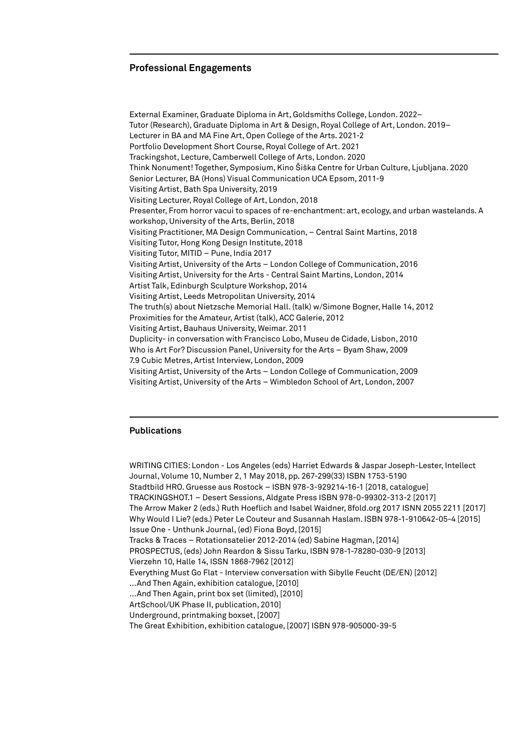### **Professional Engagements**

External Examiner, Graduate Diploma in Art, Goldsmiths College, London. 2022– Tutor (Research), Graduate Diploma in Art & Design, Royal College of Art, London. 2019– Lecturer in BA and MA Fine Art, Open College of the Arts. 2021-2 Portfolio Development Short Course, Royal College of Art. 2021 Trackingshot, Lecture, Camberwell College of Arts, London. 2020 Think Nonument! Together, Symposium, Kino Šiška Centre for Urban Culture, Ljubljana. 2020 Senior Lecturer, BA (Hons) Visual Communication UCA Epsom, 2011-9 Visiting Artist, Bath Spa University, 2019 Visiting Lecturer, Royal College of Art, London, 2018 Presenter, From horror vacui to spaces of re-enchantment: art, ecology, and urban wastelands. A workshop, University of the Arts, Berlin, 2018 Visiting Practitioner, MA Design Communication, – Central Saint Martins, 2018 Visiting Tutor, Hong Kong Design Institute, 2018 Visiting Tutor, MITID – Pune, India 2017 Visiting Artist, University of the Arts – London College of Communication, 2016 Visiting Artist, University for the Arts - Central Saint Martins, London, 2014 Artist Talk, Edinburgh Sculpture Workshop, 2014 Visiting Artist, Leeds Metropolitan University, 2014 The truth(s) about Nietzsche Memorial Hall. (talk) w/Simone Bogner, Halle 14, 2012 Proximities for the Amateur, Artist (talk), ACC Galerie, 2012 Visiting Artist, Bauhaus University, Weimar. 2011 Duplicity- in conversation with Francisco Lobo, Museu de Cidade, Lisbon, 2010 Who is Art For? Discussion Panel, University for the Arts – Byam Shaw, 2009 7.9 Cubic Metres, Artist Interview, London, 2009 Visiting Artist, University of the Arts – London College of Communication, 2009 Visiting Artist, University of the Arts – Wimbledon School of Art, London, 2007

### **Publications**

WRITING CITIES: London - Los Angeles (eds) Harriet Edwards & Jaspar Joseph-Lester, Intellect Journal, Volume 10, Number 2, 1 May 2018, pp. 267-299(33) ISBN 1753-5190 Stadtbild HRO. Gruesse aus Rostock – ISBN 978-3-929214-16-1 [2018, catalogue] TRACKINGSHOT.1 – Desert Sessions, Aldgate Press ISBN 978-0-99302-313-2 [2017] The Arrow Maker 2 (eds.) Ruth Hoeflich and Isabel Waidner, 8fold.org 2017 ISNN 2055 2211 [2017] Why Would I Lie? (eds.) Peter Le Couteur and Susannah Haslam. ISBN 978-1-910642-05-4 [2015] Issue One - Unthunk Journal, (ed) Fiona Boyd, [2015] Tracks & Traces – Rotationsatelier 2012-2014 (ed) Sabine Hagman, [2014] PROSPECTUS, (eds) John Reardon & Sissu Tarku, ISBN 978-1-78280-030-9 [2013] Vierzehn 10, Halle 14, ISSN 1868-7962 [2012] Everything Must Go Flat - Interview conversation with Sibylle Feucht (DE/EN) [2012] ...And Then Again, exhibition catalogue, [2010] ...And Then Again, print box set (limited), [2010] ArtSchool/UK Phase II, publication, 2010] Underground, printmaking boxset, [2007] The Great Exhibition, exhibition catalogue, [2007] ISBN 978-905000-39-5